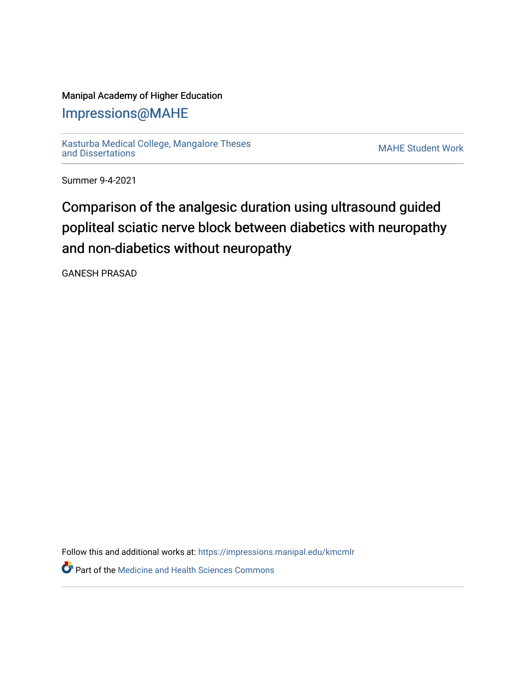### Manipal Academy of Higher Education

## [Impressions@MAHE](https://impressions.manipal.edu/)

[Kasturba Medical College, Mangalore Theses](https://impressions.manipal.edu/kmcmlr) [and Dissertations](https://impressions.manipal.edu/kmcmlr) [MAHE Student Work](https://impressions.manipal.edu/student-work) 

Summer 9-4-2021

# Comparison of the analgesic duration using ultrasound guided popliteal sciatic nerve block between diabetics with neuropathy and non-diabetics without neuropathy

GANESH PRASAD

Follow this and additional works at: [https://impressions.manipal.edu/kmcmlr](https://impressions.manipal.edu/kmcmlr?utm_source=impressions.manipal.edu%2Fkmcmlr%2F251&utm_medium=PDF&utm_campaign=PDFCoverPages) 

**P** Part of the Medicine and Health Sciences Commons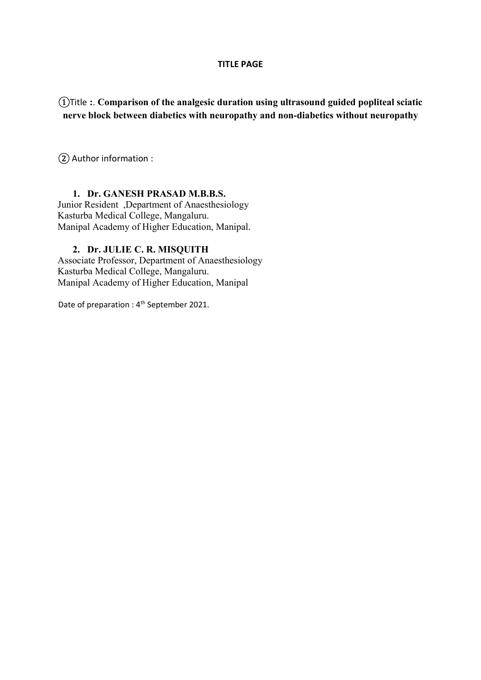#### TITLE PAGE

①Title :. Comparison of the analgesic duration using ultrasound guided popliteal sciatic nerve block between diabetics with neuropathy and non-diabetics without neuropathy

② Author information :

#### 1. Dr. GANESH PRASAD M.B.B.S.

Junior Resident ,Department of Anaesthesiology Kasturba Medical College, Mangaluru. Manipal Academy of Higher Education, Manipal.

#### 2. Dr. JULIE C. R. MISQUITH

Associate Professor, Department of Anaesthesiology Kasturba Medical College, Mangaluru. Manipal Academy of Higher Education, Manipal

Date of preparation : 4<sup>th</sup> September 2021.